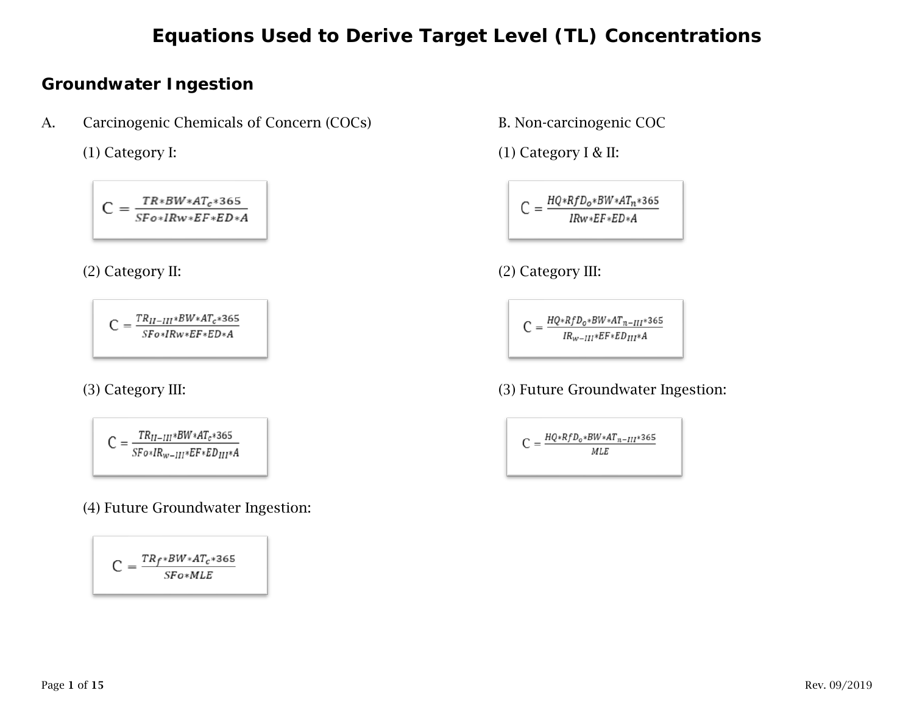#### **Groundwater Ingestion**

A. Carcinogenic Chemicals of Concern (COCs) B. Non-carcinogenic COC

 $C = \frac{TR*BW*AT_c*365}{SF \circ * IRW*EF*ED*AE}$ 

 $C = \frac{TR_{II-III}*BW*AT_c*365}{SFo*IRw*EF*ED*A}$ 

$$
C=\tfrac{TR_{II-III}*BW*AT_c*365}{SFo*IR_{w-III}*EF*ED_{III}*A}
$$

(4) Future Groundwater Ingestion:

$$
C = \frac{TR_f * BW * AT_c * 365}{SFo * MLE}
$$

(1) Category I: (1) Category I & II:

$$
C = \frac{HQ*RfD_0*BW*AT_n*365}{IRw*EF*ED*A}
$$

(2) Category II: (2) Category III:

$$
C = \frac{HQ * RfD_0 * BW * AT_{n-III} * 365}{IR_{w-III} * EF * ED_{III} * A}
$$

#### (3) Category III: (3) Future Groundwater Ingestion:

$$
C = \frac{HQ * RfD_0 * BW * AT_{n-III} * 365}{MLE}
$$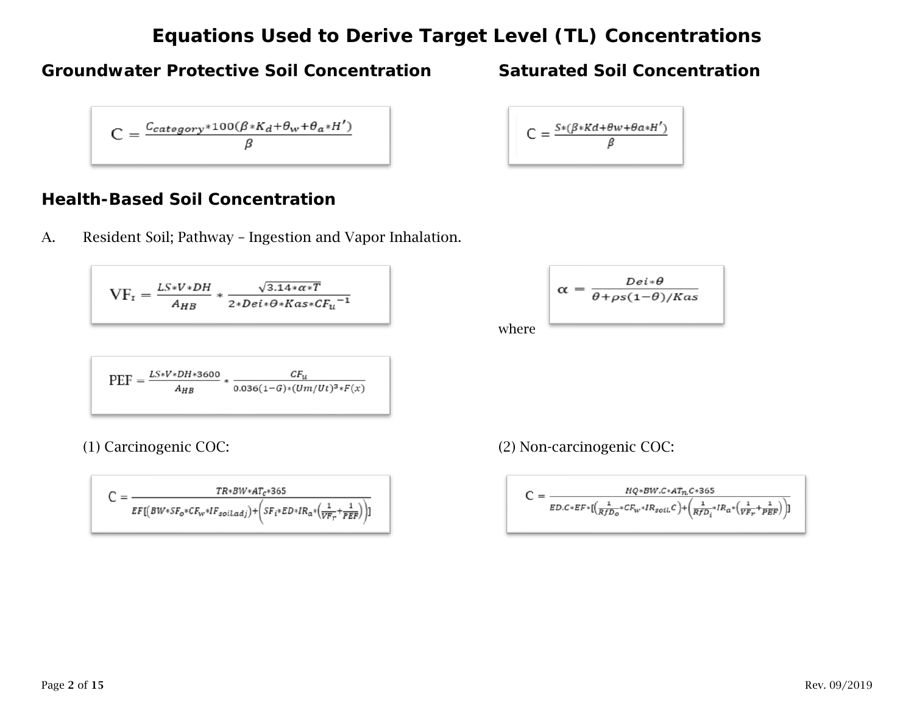#### **Groundwater Protective Soil Concentration Saturated Soil Concentration**

$$
C = \frac{c_{category}*100(\beta * K_d + \theta_w + \theta_{\alpha} * H')}{\beta}
$$

#### **Health-Based Soil Concentration**

A. Resident Soil; Pathway – Ingestion and Vapor Inhalation.

 $\mathrm{VF}_{\mathrm{r}}=\tfrac{L S * V * D H}{A_{HB}} * \tfrac{\sqrt{3.14* \alpha * T}}{2 * De i * \theta * K as * CF_u}^{-1}$ 

$$
PEF = \frac{LS*V*DH*3600}{A_{HB}} * \frac{CF_u}{0.036(1-G)*(Um/Ut)^3*F(x)}
$$

$$
C = \frac{\mathit{TR} * \mathit{BW}* \mathit{ATC} * 365}{\mathit{EF}[(\mathit{BW}* \mathit{SF_0}* \mathit{CF_{w}* IF}\mathit{soil.adj})} + \left(\mathit{SF_i}* \mathit{ED}* \mathit{IR_a}*\left(\frac{1}{\mathit{VF_T}}+\frac{1}{\mathit{PEF}}\right)\right)]}
$$

$$
C = \frac{S*(\beta * Kd + \theta w + \theta \alpha * H')}{\beta}
$$

$$
\alpha = \frac{Dei*\theta}{\theta + \rho s(1-\theta)/Kas}
$$

where

(1) Carcinogenic COC: (2) Non-carcinogenic COC:

$$
C = \frac{HQ*BW.C*AT_n.C*365}{ED.C*EF*[(\frac{1}{RfD_o}*CF_{w}*IR_{soil}.C)+(\frac{1}{RfD_i}*IR_a*(\frac{1}{VF_r}+\frac{1}{PEF})})]}
$$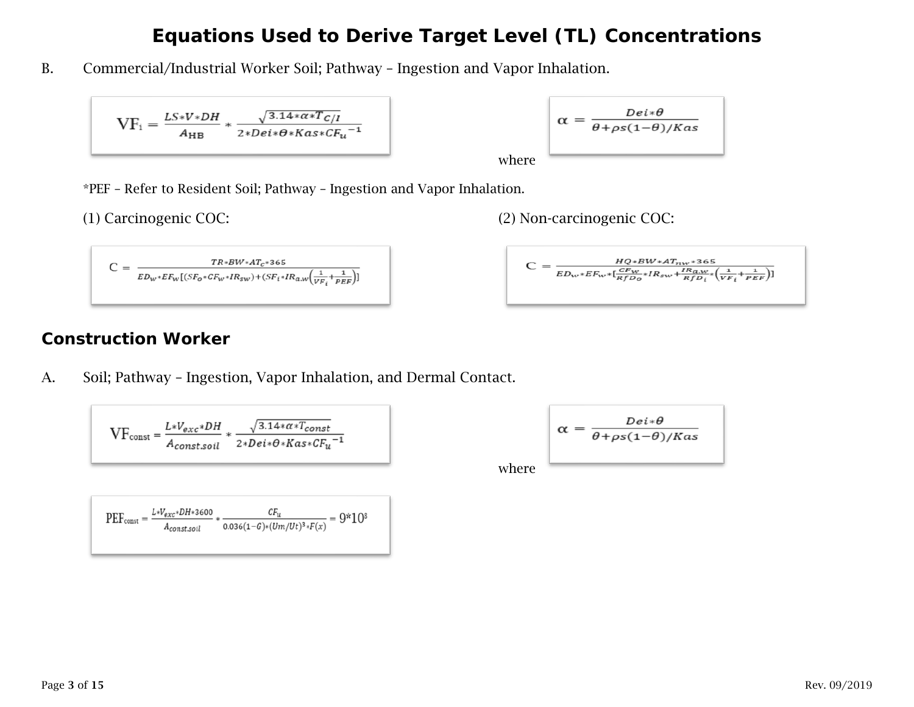B. Commercial/Industrial Worker Soil; Pathway – Ingestion and Vapor Inhalation.

$$
VF_i = \frac{LS*V*DH}{A_{HB}} * \frac{\sqrt{3.14* \alpha *T_{C/I}}}{2*Dei * \theta * Kas * CF_u^{-1}}
$$

where 
$$
\alpha = \frac{Dei * \theta}{\theta + \rho s (1 - \theta) / Kas}
$$

\*PEF – Refer to Resident Soil; Pathway – Ingestion and Vapor Inhalation.

(1) Carcinogenic COC: (2) Non-carcinogenic COC:

$$
C = \frac{TR*BW*AT_c*365}{ED_w*EF_w[(SF_o*CF_w*IR_{sw})+(SF_i*IR_{aw}(\frac{1}{VF_i}+\frac{1}{PEF})]}
$$

$$
(2) M \qquad \qquad \vdots \qquad \qquad 000
$$

$$
C = \frac{HQ*BW*AT_{nw}*365}{ED_{w}*EF_{w}*[\frac{CF_{w}}{RfD_{o}}*IR_{sw}+\frac{IR_{a,w}}{RfD_{i}}*(\frac{1}{VF_{i}}+\frac{1}{PEF})]}
$$

#### **Construction Worker**

A. Soil; Pathway – Ingestion, Vapor Inhalation, and Dermal Contact.

$$
\text{VF}_{\text{const}} = \frac{L*V_{exc}*DH}{A_{const. soil}} * \frac{\sqrt{3.14* \alpha *T_{const}}}{2*Dei*\theta * Kas*CF_u^{-1}}
$$

$$
\alpha = \frac{Dei * \theta}{\theta + \rho s (1-\theta)/Kas}
$$

where

$$
\text{PEF}_{\text{const}} = \frac{L*V_{exc}*DH*3600}{A_{const.} \times 10^{34} \times 10^{24} \times 10^{24} \times 10^{24} \times 10^{24} \times 10^{24} \times 10^{24} \times 10^{24} \times 10^{24} \times 10^{24} \times 10^{24} \times 10^{24} \times 10^{24} \times 10^{24} \times 10^{24} \times 10^{24} \times 10^{24} \times 10^{24} \times 10^{24} \times 10^{24} \times 10^{24} \times 10^{24} \times 10^{24} \times 10^{24} \times 10^{24} \times 10^{24} \times 10^{24} \times 10^{24} \times 10^{24} \times 10^{24} \times 10^{24} \times 10^{24} \times 10^{24} \times 10^{24} \times 10^{24} \times 10^{24} \times 10^{24} \times 10^{24} \times 10^{24} \times 10^{24} \times 10^{24} \times 10^{24} \times 10^{24} \times 10^{24} \times 10^{24} \times 10^{24} \times 10^{24} \times 10^{24} \times 10^{24} \times 10^{24} \times 10^{24} \times 10^{24} \times 10^{24} \times 10^{24} \times 10^{24} \times 10^{24} \times 10^{24} \times 10^{24} \times 10^{24} \times 10^{24} \times 10^{24} \times 10^{24} \times 10^{24} \times 10^{24} \times 10^{24} \times 10^{24} \times 10^{24} \times 10^{24} \times 10^{24} \times 10^{24} \times 10^{24} \times 10^{24} \times 10^{24} \times 10^{24} \times 10^{24} \times 10^{24} \times 10^{24} \times 10^{24} \times 10^{24} \times 10^{24} \times 10^{2
$$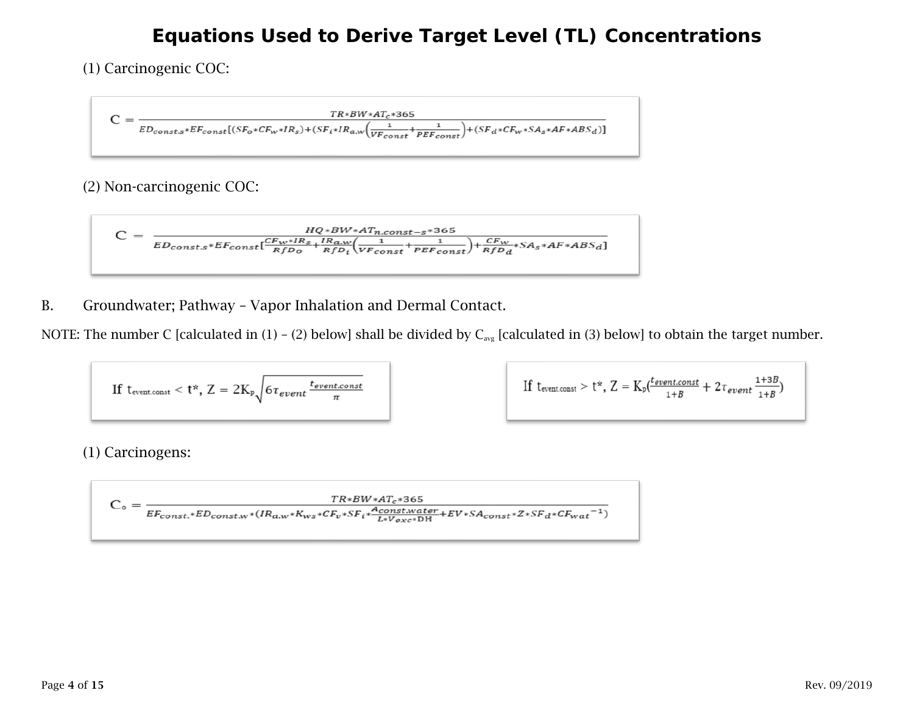(1) Carcinogenic COC:

$$
C = \frac{\mathit{TR}*BW*AT_c*365}{\mathit{ED}_{const.s}*E_{const}[(\mathit{SF}_o*CF_w*IR_s)+(\mathit{SF}_i*IR_{a.w}(\frac{1}{VF_{const}}+\frac{1}{PEF_{const}})+(\mathit{SF}_d*CF_w*SA_s*AF*ABS_d)]}
$$

(2) Non-carcinogenic COC:

$$
C = \frac{HQ*BW*AT_{n,const-s}*365}{ED_{const,s}*EF_{const}} \frac{CF_{W}*IR_{s}}{RfD_{o}} + \frac{IR_{aw}}{RfD_{i}} \left(\frac{1}{VF_{const}} + \frac{1}{PEF_{const}}\right) + \frac{CF_{W}}{RfD_{d}} * SA_{s}*AF*ABS_{d}]}
$$

B. Groundwater; Pathway – Vapor Inhalation and Dermal Contact.

NOTE: The number C [calculated in (1) – (2) below] shall be divided by  $C_{avg}$  [calculated in (3) below] to obtain the target number.

If t<sub>eventconst</sub> < t\*, Z = 2K<sub>p</sub> 
$$
\sqrt{6\tau_{event} \frac{t_{eventconst}}{\pi}}
$$

 $\text{If } t_{\text{eventconst}} > t^*, \, Z = K_p(\frac{t_{eventconst}}{1+B} + 2\tau_{event} \frac{1+3B}{1+B})$ 

(1) Carcinogens:

$$
C_\text{o} = \frac{\mathit{TR} * \mathit{BW} * \mathit{AT}_c * 365}{\mathit{EF}_{const.} * \mathit{ED}_{const. w} * (\mathit{IR}_{a,w} * \mathit{K}_{ws} * \mathit{CF}_{v} * \mathit{SF}_i * \frac{\mathit{A}_{const. water}}{\mathit{L} * \mathit{V}_{exc} * \text{DH}} + \mathit{EV} * \mathit{SA}_{const} * \mathit{Z} * \mathit{SF}_{d} * \mathit{CF}_{wat}^{-1})}
$$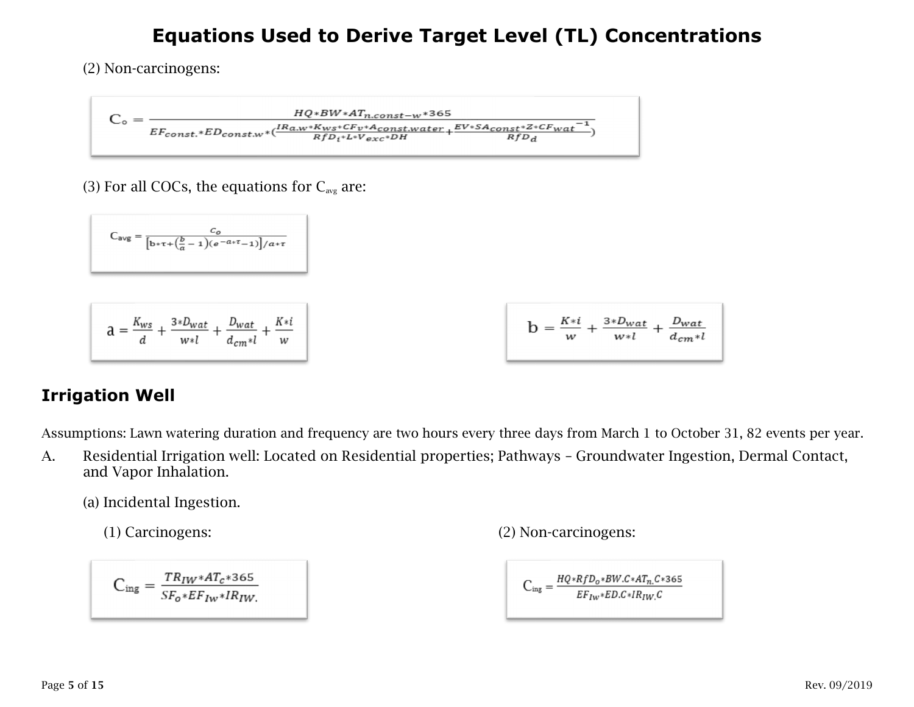(2) Non-carcinogens:

$$
C_\text{o} = \frac{\textit{HQ} * \textit{BW}* \textit{AT}_{n,const-w}*365}{\textit{EF}_{const.*} \textit{ED}_{const.w} * (\frac{\textit{IR}_{a.w}* \textit{K}_{ws}* \textit{CF}_{v}* \textit{A}_{const.water}}{\textit{RfD}_{i}* \textit{L}* \textit{V}_{exc}* \textit{DH}}+\frac{\textit{EV}* \textit{SA}_{const}* \textit{Z}* \textit{CF}_{wat}^{-1}}{\textit{RfD}_{d}})}
$$

(3) For all COCs, the equations for  $C_{\text{avg}}$  are:

$$
C_{avg} = \frac{c_o}{\left[b \ast \tau + \left(\frac{b}{a} - 1\right)(e^{-a \ast \tau} - 1)\right]/a \ast \tau}
$$

$$
a = \frac{K_{ws}}{d} + \frac{3*D_{wat}}{w*l} + \frac{D_{wat}}{d_{cm}*l} + \frac{K* i}{w}
$$

| $b = \frac{K * i}{1} + \frac{3 * D_{wat}}{1} + \frac{D_{wat}}{1}$<br>$d_{cm}$ *l<br>w∗l<br>w |
|----------------------------------------------------------------------------------------------|
|----------------------------------------------------------------------------------------------|

### **Irrigation Well**

Assumptions: Lawn watering duration and frequency are two hours every three days from March 1 to October 31, 82 events per year.

A. Residential Irrigation well: Located on Residential properties; Pathways – Groundwater Ingestion, Dermal Contact, and Vapor Inhalation.

(a) Incidental Ingestion.

$$
C_{\text{ing}} = \frac{TR_{IW}*AT_c*365}{SF_o*EF_{IW}*IR_{IW}}
$$

(1) Carcinogens: (2) Non-carcinogens:

$$
C_{\text{ing}} = \frac{HQ * RfD_o * BW.C * AT_n.C * 365}{EF_{Iw} * ED.C * IR_{IW}.C}
$$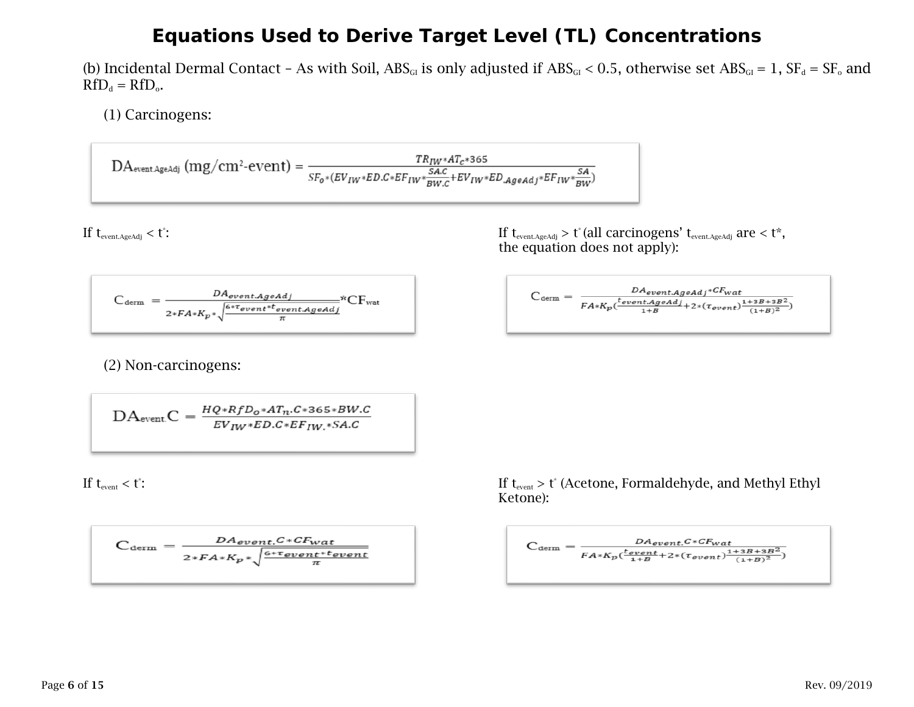(b) Incidental Dermal Contact - As with Soil,  $ABS_{GI}$  is only adjusted if  $ABS_{GI} < 0.5$ , otherwise set  $ABS_{GI} = 1$ ,  $SF_d = SF_o$  and  $RfD_d = RfD_o.$ 

(1) Carcinogens:

$$
DA_{\textrm{event}.AgeAdj}}\left( m g / cm^2\text{-event} \right) = \frac{\mathit{TR}_{\mathit{IW}} * \mathit{AT}_{\mathit{C}} * 365}{\mathit{SF_{o}} * (\mathit{EV_{\mathit{IW}}} * \mathit{ED}. \mathit{C} * \mathit{EF_{\mathit{IW}}} * \mathit{EV_{\mathit{IW}}} * \mathit{ED}. \mathit{AgeAdj}} * \mathit{EF_{\mathit{IW}}} * \frac{\mathit{SA}}{\mathit{BW}})}
$$

If  $t_{\text{event}.AgeAdj} < t$ :

$$
C_{\text{term}} = \frac{DA_{event}.ageddj}{2*FA*K_p*\sqrt{\frac{6*Tovent.*tovent}.Ageadj}{\pi}} \text{*CF}_{\text{wat}}
$$

(2) Non-carcinogens:

$$
DAeventC = \frac{HQ * RfDo * ATn.C * 365 * BW.C}{EVIW * ED.C * EFIW. * SA.C}
$$

If  $t_{\text{event}} < t$ :

$$
C_{\text{term}} = \frac{DA_{event}C*CF_{wat}}{2*FA*K_p*\sqrt{\frac{6*tovent*tovent}{\pi}}}
$$

:  $\text{If } t_{\text{event}.AgeAdj}} > t^* (\text{all carcinogens'} t_{\text{event}.AgeAdj}} \text{are} < t^*,$ the equation does not apply):

$$
C_{\text{term}} = \frac{DA_{event}.A{geadj} * CF_{wat}}{FA * K_p(\frac{t_{event}.A{geadj}}{1+B} + 2 * (\tau_{event}) \frac{1+3B+3B^2}{(1+B)^2})}
$$

:  $\text{If } t_{\text{event}} > t^* \text{ (Acetone, Formaldehyde, and Methyl Ethyl)}$ Ketone):

$$
C_{\text{term}} = \frac{DA_{event}C*CF_{wat}}{FA*K_p(\frac{tevent}{1+B} + 2*(\tau_{event})\frac{1+3B+3B^2}{(1+B)^2})}
$$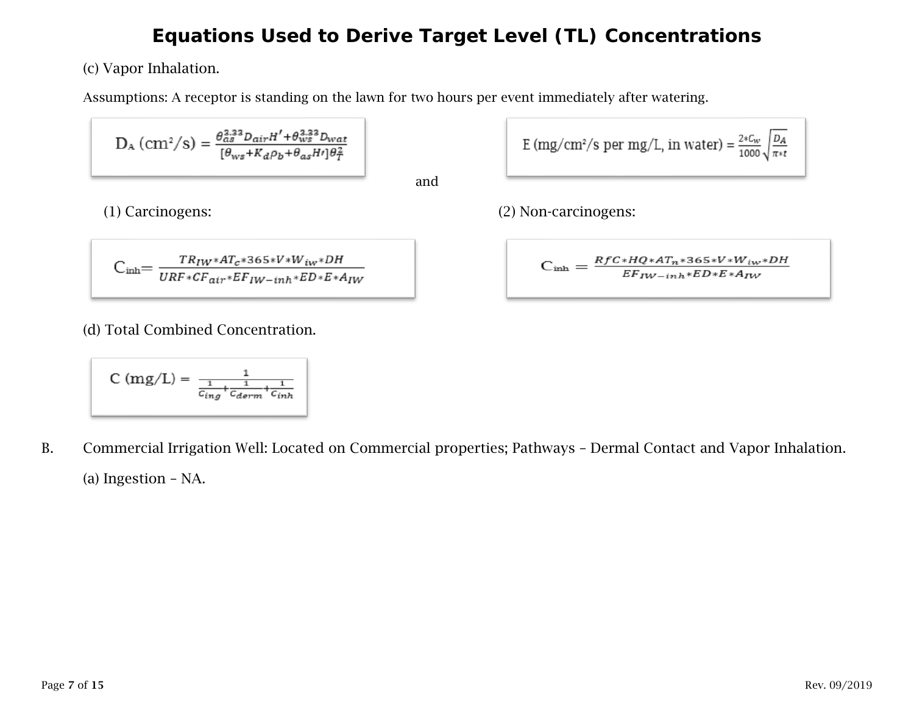(c) Vapor Inhalation.

Assumptions: A receptor is standing on the lawn for two hours per event immediately after watering.

$$
\mathrm{D}_{\mathrm{A}}\left(\mathrm{cm}^2/\mathrm{s}\right)=\frac{\theta_{as}^{3.33}D_{air}H'+\theta_{ws}^{3.33}D_{wat}}{[\theta_{ws}+K_d\rho_b+\theta_{as}H']\theta_T^2}
$$

and

$$
C_{inh}=\frac{TR_{IW}*AT_{c}*365*V*W_{iw}*DH}{URF*CF_{air}*EF_{IW-inh}*ED*E*A_{IW}}
$$

(d) Total Combined Concentration.

$$
C (mg/L) = \frac{1}{\frac{1}{C_{ing}} + \frac{1}{C_{derm}} + \frac{1}{C_{inh}}}
$$

B. Commercial Irrigation Well: Located on Commercial properties; Pathways – Dermal Contact and Vapor Inhalation. (a) Ingestion – NA.

E (mg/cm<sup>2</sup>/s per mg/L, in water) = 
$$
\frac{2*C_w}{1000} \sqrt{\frac{D_A}{\pi * t}}
$$

(1) Carcinogens: (2) Non-carcinogens:

$$
C_{\rm inh} = \frac{RfC*HQ*AT_n*365*V*W_{iw}*DH}{EF_{IW-inh}*ED*E*A_{IW}}
$$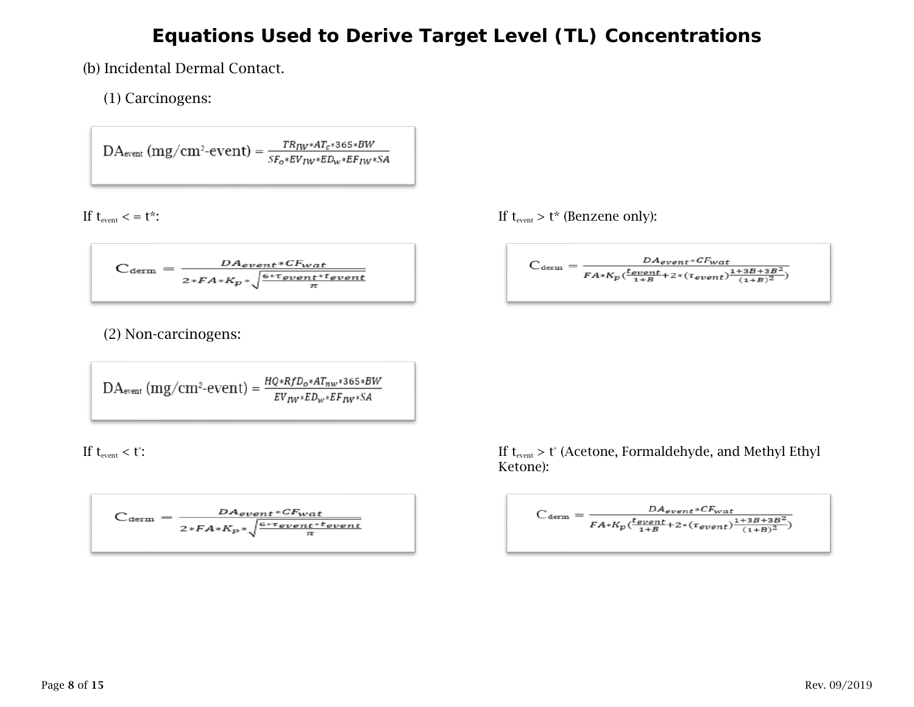(b) Incidental Dermal Contact.

(1) Carcinogens:

 $\text{DA}_{\text{event}}\left(\text{mg}/\text{cm}^2\text{-}\text{event}\right) = \frac{\text{TR}_{\text{IW}}* \text{AT}_c * \text{365}* \text{BW}}{\text{SF}_o * \text{EV}_{\text{IW}}* \text{ED}_w * \text{EF}_{\text{IW}}* \text{SA}}$ 

$$
C_{\text{term}} = \frac{DA_{event}*CF_{wat}}{2*FA*K_p * \sqrt{\frac{6*Tovent*tevent}{\pi}}}
$$

(2) Non-carcinogens:

$$
DA_{\textrm{event}}\left( mg/cm^2\text{-}event\right) = \frac{\textit{HQ} * \textit{RfD}_o * \textit{AT}_{\textit{nw}} * \textit{365} * \textit{BW}}{\textit{EV}_{\textit{IW}} * \textit{ED}_w * \textit{EF}_{\textit{IW}} * \textit{SA}}
$$

If  $t_{\text{event}} < t$ :

$$
C_{\text{term}} = \frac{DA_{event} * CF_{wat}}{2 * FA * K_p * \sqrt{\frac{6 * T_{event} * t_{event}}{\pi}}}
$$

If  $t_{\text{event}} < t^*$ : If  $t_{\text{event}} > t^*$  (Benzene only):

$$
C_{\text{term}} = \frac{DA_{event}*CF_{wat}}{FA*K_p(\frac{t_{event}}{1+B} + 2*(t_{event})\frac{1+3B+3B^2}{(1+B)^2})}
$$

:  $\text{If } \mathsf{t}_{\text{event}} > \mathsf{t}^* \text{ (Acetone, Formaldehyde, and Methyl Ethyl)}$ Ketone):

$$
C_{\text{term}} = \frac{DA_{event}*CF_{wat}}{FA*K_p(\frac{t_{event}}{1+B} + 2*(\tau_{event})\frac{1+3B+3B^2}{(1+B)^2})}
$$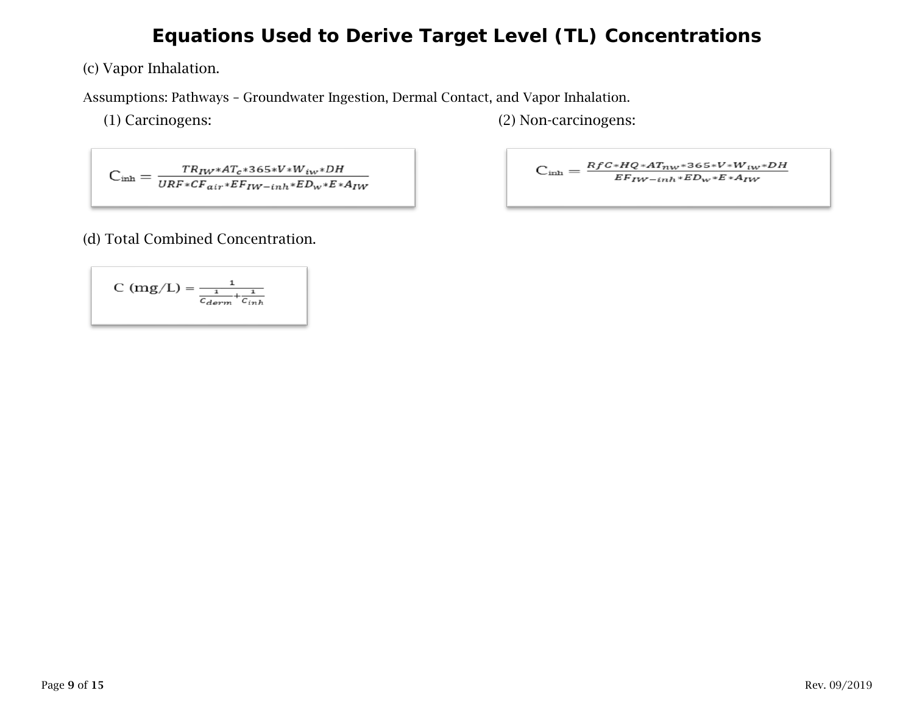(c) Vapor Inhalation.

Assumptions: Pathways – Groundwater Ingestion, Dermal Contact, and Vapor Inhalation.

(1) Carcinogens: (2) Non-carcinogens:

 $\textit{C}_{\text{inh}}=\frac{\mathit{TR}_{\mathit{IW}}*\mathit{AT}_{c}*\mathit{365*V*W}_{iw}*\mathit{DH}}{\mathit{URF}*\mathit{CF}_{air}*\mathit{EF}_{\mathit{IW}-\mathit{inh}}*\mathit{ED}_{w}*\mathit{E}*\mathit{A}_{\mathit{IW}}}$ 

$$
C_{inh}=\frac{RfC*HQ*AT_{nw}*365*V*W_{iw}*DH}{EF_{IW-inh}*ED_{w}*E*A_{IW}}
$$

#### (d) Total Combined Concentration.

$$
C (mg/L) = \frac{1}{\frac{1}{c_{derm}} + \frac{1}{c_{inh}}}
$$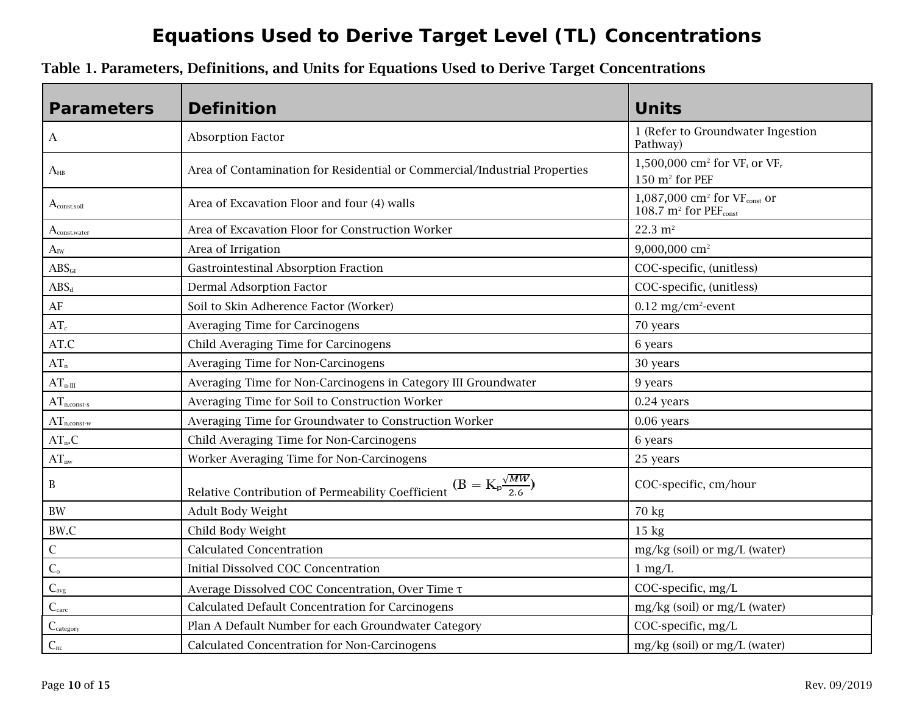| Table 1. Parameters, Definitions, and Units for Equations Used to Derive Target Concentrations |  |  |
|------------------------------------------------------------------------------------------------|--|--|
|------------------------------------------------------------------------------------------------|--|--|

| <b>Parameters</b>               | <b>Definition</b>                                                                      | <b>Units</b>                                                                                |
|---------------------------------|----------------------------------------------------------------------------------------|---------------------------------------------------------------------------------------------|
| A                               | <b>Absorption Factor</b>                                                               | 1 (Refer to Groundwater Ingestion<br>Pathway)                                               |
| $A_{HB}$                        | Area of Contamination for Residential or Commercial/Industrial Properties              | 1,500,000 cm <sup>2</sup> for $VF_i$ or $VF_r$<br>150 m <sup>2</sup> for PEF                |
| $A_{\text{const.} \text{soil}}$ | Area of Excavation Floor and four (4) walls                                            | 1,087,000 cm <sup>2</sup> for VFconst or<br>$108.7$ m <sup>2</sup> for PEF <sub>const</sub> |
| $A_{\text{const.water}}$        | Area of Excavation Floor for Construction Worker                                       | $22.3 \text{ m}^2$                                                                          |
| $A_{\text{IW}}$                 | Area of Irrigation                                                                     | 9,000,000 cm <sup>2</sup>                                                                   |
| ABS <sub>GI</sub>               | <b>Gastrointestinal Absorption Fraction</b>                                            | COC-specific, (unitless)                                                                    |
| $ABS_d$                         | <b>Dermal Adsorption Factor</b>                                                        | COC-specific, (unitless)                                                                    |
| $\rm AF$                        | Soil to Skin Adherence Factor (Worker)                                                 | $0.12$ mg/cm <sup>2</sup> -event                                                            |
| $AT_c$                          | Averaging Time for Carcinogens                                                         | 70 years                                                                                    |
| AT.C                            | Child Averaging Time for Carcinogens                                                   | 6 years                                                                                     |
| $AT_n$                          | Averaging Time for Non-Carcinogens                                                     | 30 years                                                                                    |
| $AT_{n\text{-III}}$             | Averaging Time for Non-Carcinogens in Category III Groundwater                         | 9 years                                                                                     |
| $AT_{n. const-s}$               | Averaging Time for Soil to Construction Worker                                         | 0.24 years                                                                                  |
| $AT_{n.const-w}$                | Averaging Time for Groundwater to Construction Worker                                  | 0.06 years                                                                                  |
| $AT_n.C$                        | Child Averaging Time for Non-Carcinogens                                               | 6 years                                                                                     |
| $AT_{\rm nw}$                   | Worker Averaging Time for Non-Carcinogens                                              | 25 years                                                                                    |
| $\, {\bf B}$                    | $(B = K_p \frac{\sqrt{MW}}{2.6})$<br>Relative Contribution of Permeability Coefficient | COC-specific, cm/hour                                                                       |
| $\rm BW$                        | Adult Body Weight                                                                      | 70 kg                                                                                       |
| BW.C                            | Child Body Weight                                                                      | $15$ kg                                                                                     |
| $\mathsf C$                     | <b>Calculated Concentration</b>                                                        | mg/kg (soil) or mg/L (water)                                                                |
| $\overline{C_{o}}$              | Initial Dissolved COC Concentration                                                    | $1 \text{ mg/L}$                                                                            |
| $C_{\text{avg}}$                | Average Dissolved COC Concentration, Over Time T                                       | COC-specific, mg/L                                                                          |
| C <sub>carc</sub>               | Calculated Default Concentration for Carcinogens                                       | mg/kg (soil) or mg/L (water)                                                                |
| $C_{\text{category}}$           | Plan A Default Number for each Groundwater Category                                    | COC-specific, mg/L                                                                          |
| $C_{nc}$                        | Calculated Concentration for Non-Carcinogens                                           | mg/kg (soil) or mg/L (water)                                                                |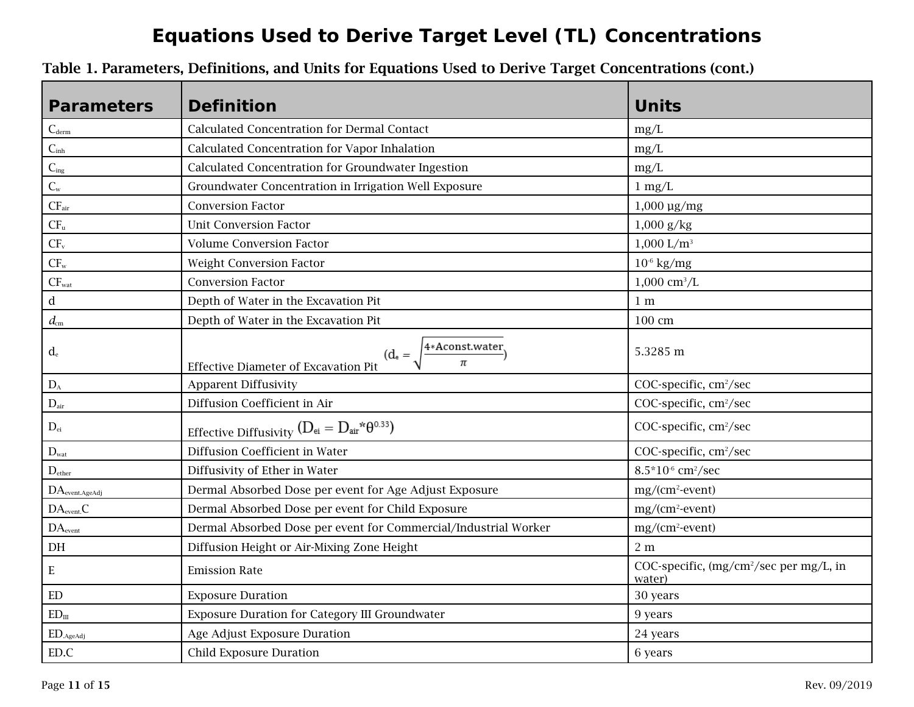| <b>Parameters</b>                                 | <b>Definition</b>                                                               | <b>Units</b>                                                  |
|---------------------------------------------------|---------------------------------------------------------------------------------|---------------------------------------------------------------|
| $C_{\text{derm}}$                                 | <b>Calculated Concentration for Dermal Contact</b>                              | mg/L                                                          |
| $C_{\text{inh}}$                                  | Calculated Concentration for Vapor Inhalation                                   | mg/L                                                          |
| $C_{ing}$                                         | Calculated Concentration for Groundwater Ingestion                              | mg/L                                                          |
| $C_{w}$                                           | Groundwater Concentration in Irrigation Well Exposure                           | $1 \text{ mg/L}$                                              |
| $CF_{air}$                                        | <b>Conversion Factor</b>                                                        | $1,000 \text{ µg/mg}$                                         |
| $CF_u$                                            | <b>Unit Conversion Factor</b>                                                   | $1,000 \text{ g/kg}$                                          |
| CF <sub>v</sub>                                   | <b>Volume Conversion Factor</b>                                                 | $1,000$ L/m <sup>3</sup>                                      |
| $CF_{w}$                                          | Weight Conversion Factor                                                        | $10^{-6}$ kg/mg                                               |
| $CF_{wat}$                                        | <b>Conversion Factor</b>                                                        | $1,000 \text{ cm}^3/\text{L}$                                 |
| $\rm d$                                           | Depth of Water in the Excavation Pit                                            | 1 <sub>m</sub>                                                |
| $d_{\rm cm}$                                      | Depth of Water in the Excavation Pit                                            | 100 cm                                                        |
| $d_{\rm e}$                                       | 4*Aconst.water.<br>$(d_e =$<br>π<br><b>Effective Diameter of Excavation Pit</b> | 5.3285 m                                                      |
| $D_{\rm A}$                                       | <b>Apparent Diffusivity</b>                                                     | COC-specific, cm <sup>2</sup> /sec                            |
| $D_{\text{air}}$                                  | Diffusion Coefficient in Air                                                    | COC-specific, cm <sup>2</sup> /sec                            |
| $\mathbf{D}_{\rm ei}$                             | Effective Diffusivity ( $D_{\text{ei}} = D_{\text{air}}{}^*\theta^{0.33})$      | COC-specific, cm <sup>2</sup> /sec                            |
| $D_{\text{wat}}$                                  | Diffusion Coefficient in Water                                                  | COC-specific, cm <sup>2</sup> /sec                            |
| $D_{\text{ether}}$                                | Diffusivity of Ether in Water                                                   | 8.5*10 <sup>-6</sup> cm <sup>2</sup> /sec                     |
| DA <sub>event. AgeAdj</sub>                       | Dermal Absorbed Dose per event for Age Adjust Exposure                          | $mg/(cm^2$ -event)                                            |
| DA <sub>event</sub> C                             | Dermal Absorbed Dose per event for Child Exposure                               | $mg/(cm^2$ -event)                                            |
| DA <sub>event</sub>                               | Dermal Absorbed Dose per event for Commercial/Industrial Worker                 | $mg/(cm^2$ -event)                                            |
| $\rm{DH}$                                         | Diffusion Height or Air-Mixing Zone Height                                      | 2 <sub>m</sub>                                                |
| E                                                 | <b>Emission Rate</b>                                                            | COC-specific, (mg/cm <sup>2</sup> /sec per mg/L, in<br>water) |
| ED                                                | <b>Exposure Duration</b>                                                        | 30 years                                                      |
| ED <sub>II</sub>                                  | <b>Exposure Duration for Category III Groundwater</b>                           | 9 years                                                       |
| $\hbox{\rm ED}\xspace_{. \mathrm{AgeAdj}\xspace}$ | Age Adjust Exposure Duration                                                    | 24 years                                                      |
| ED.C                                              | <b>Child Exposure Duration</b>                                                  | 6 years                                                       |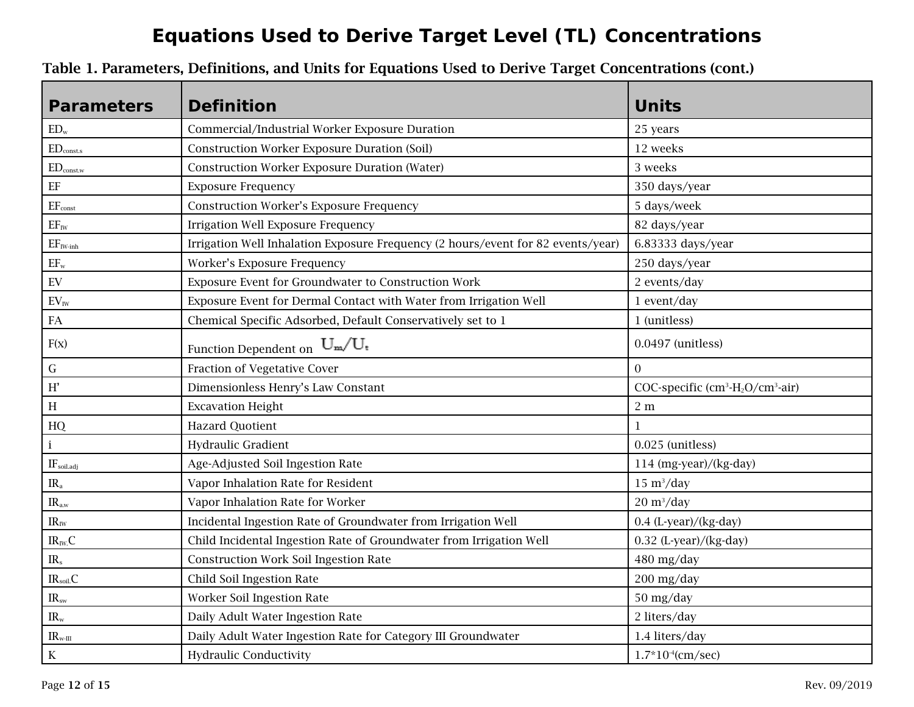| <b>Parameters</b>                | <b>Definition</b>                                                                | <b>Units</b>                       |
|----------------------------------|----------------------------------------------------------------------------------|------------------------------------|
| $ED_w$                           | Commercial/Industrial Worker Exposure Duration                                   | 25 years                           |
| $ED_{const.s}$                   | <b>Construction Worker Exposure Duration (Soil)</b>                              | 12 weeks                           |
| $\mathrm{ED}_{\mathrm{const.w}}$ | <b>Construction Worker Exposure Duration (Water)</b>                             | 3 weeks                            |
| $\rm EF$                         | <b>Exposure Frequency</b>                                                        | 350 days/year                      |
| $EF_{\text{const}}$              | <b>Construction Worker's Exposure Frequency</b>                                  | 5 days/week                        |
| $EF_{IW}$                        | <b>Irrigation Well Exposure Frequency</b>                                        | 82 days/year                       |
| $EF_{\text{IW-inh}}$             | Irrigation Well Inhalation Exposure Frequency (2 hours/event for 82 events/year) | 6.83333 days/year                  |
| $EF_{w}$                         | Worker's Exposure Frequency                                                      | 250 days/year                      |
| ${\rm EV}$                       | Exposure Event for Groundwater to Construction Work                              | 2 events/day                       |
| $EV_{\rm{IW}}$                   | Exposure Event for Dermal Contact with Water from Irrigation Well                | 1 event/day                        |
| ${\rm FA}$                       | Chemical Specific Adsorbed, Default Conservatively set to 1                      | 1 (unitless)                       |
| F(x)                             | Function Dependent on $\,U_m/U_t\,$                                              | 0.0497 (unitless)                  |
| ${\bf G}$                        | Fraction of Vegetative Cover                                                     | $\overline{0}$                     |
| $\mathbf{H}^{\prime}$            | Dimensionless Henry's Law Constant                                               | COC-specific $(cm3-H_2O/cm^3-air)$ |
| $\, {\rm H}$                     | <b>Excavation Height</b>                                                         | 2 <sub>m</sub>                     |
| HQ                               | <b>Hazard Quotient</b>                                                           | $\mathbf{1}$                       |
| $\,$ i                           | Hydraulic Gradient                                                               | 0.025 (unitless)                   |
| IF <sub>soil.addj</sub>          | Age-Adjusted Soil Ingestion Rate                                                 | $114$ (mg-year)/(kg-day)           |
| $IR_a$                           | Vapor Inhalation Rate for Resident                                               | $15 \text{ m}^3/\text{day}$        |
| $IR_{a.w}$                       | Vapor Inhalation Rate for Worker                                                 | $20 \frac{\text{m}^3}{\text{day}}$ |
| $\rm IR_{\rm IW}$                | Incidental Ingestion Rate of Groundwater from Irrigation Well                    | 0.4 (L-year)/(kg-day)              |
| $IR_{IW}C$                       | Child Incidental Ingestion Rate of Groundwater from Irrigation Well              | 0.32 (L-year)/(kg-day)             |
| $IR_s$                           | <b>Construction Work Soil Ingestion Rate</b>                                     | 480 mg/day                         |
| IR <sub>soil</sub> C             | Child Soil Ingestion Rate                                                        | $200$ mg/day                       |
| IR <sub>sw</sub>                 | Worker Soil Ingestion Rate                                                       | 50 mg/day                          |
| $IR_{w}$                         | Daily Adult Water Ingestion Rate                                                 | 2 liters/day                       |
| $IR_{w-III}$                     | Daily Adult Water Ingestion Rate for Category III Groundwater                    | 1.4 liters/day                     |
| $\rm K$                          | <b>Hydraulic Conductivity</b>                                                    | $1.7*10-4(cm/sec)$                 |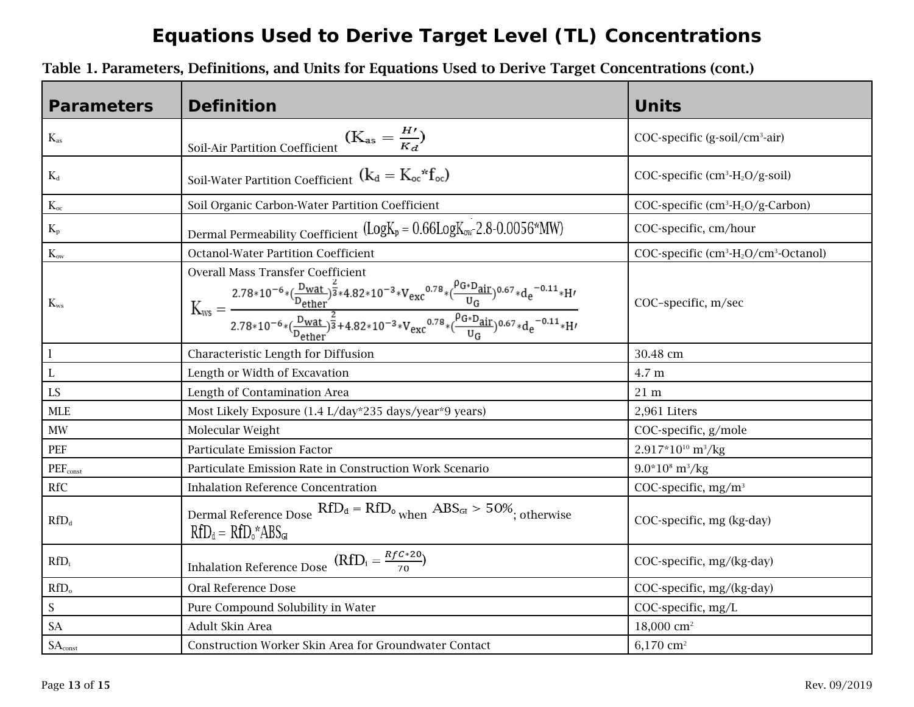| <b>Parameters</b>           | <b>Definition</b>                                                                                                                                                                                                                                                                                                                                                                                | <b>Units</b>                                                              |
|-----------------------------|--------------------------------------------------------------------------------------------------------------------------------------------------------------------------------------------------------------------------------------------------------------------------------------------------------------------------------------------------------------------------------------------------|---------------------------------------------------------------------------|
| $K_{as}$                    | $\underline{\text{Soil-Air Partition Coefficient}}\begin{pmatrix} \textbf{(} & \textbf{K}_\text{as} = \frac{H\prime}{K_d} \textbf{)} \end{pmatrix}$                                                                                                                                                                                                                                              | COC-specific (g-soil/cm <sup>3</sup> -air)                                |
| $K_{\text{d}}$              | Soil-Water Partition Coefficient $\left(k_{d} = K_{oc} * f_{oc}\right)$                                                                                                                                                                                                                                                                                                                          | COC-specific $(cm3-H_2O/g-soil)$                                          |
| $K_{\rm oc}$                | Soil Organic Carbon-Water Partition Coefficient                                                                                                                                                                                                                                                                                                                                                  | COC-specific (cm <sup>3</sup> -H <sub>2</sub> O/g-Carbon)                 |
| $K_{\rm p}$                 | Dermal Permeability Coefficient $(Log K_p = 0.66 Log K_{ow} - 2.8 - 0.0056*MW)$                                                                                                                                                                                                                                                                                                                  | COC-specific, cm/hour                                                     |
| $K_{ow}$                    | <b>Octanol-Water Partition Coefficient</b>                                                                                                                                                                                                                                                                                                                                                       | COC-specific (cm <sup>3</sup> -H <sub>2</sub> O/cm <sup>3</sup> -Octanol) |
| $K_{ws}$                    | <b>Overall Mass Transfer Coefficient</b><br>$K_{\rm ws}=\frac{2.78*10^{-6}*(\frac{D_{\rm wat}}{D_{\rm ether}})^{\frac{2}{3}*4.82*10^{-3}*V_{\rm exc}}^{0.78}(\frac{\rho_{G*D_{\rm air}}}{U_G})^{0.67}*d_e^{-0.11}*H^{\prime}}{2.78*10^{-6}*(\frac{D_{\rm wat}}{D_{\rm afharr}})^{\frac{2}{3}}+4.82*10^{-3}*V_{\rm exc}^{0.78}*(\frac{\rho_{G*D_{\rm air}}}{U_G})^{0.67}*d_e^{-0.11}*H^{\prime}}$ | COC-specific, m/sec                                                       |
| $\mathbf{l}$                | Characteristic Length for Diffusion                                                                                                                                                                                                                                                                                                                                                              | 30.48 cm                                                                  |
| $\mathbf L$                 | Length or Width of Excavation                                                                                                                                                                                                                                                                                                                                                                    | 4.7 m                                                                     |
| LS                          | Length of Contamination Area                                                                                                                                                                                                                                                                                                                                                                     | $21 \text{ m}$                                                            |
| MLE                         | Most Likely Exposure (1.4 L/day*235 days/year*9 years)                                                                                                                                                                                                                                                                                                                                           | 2,961 Liters                                                              |
| $\text{MW}{}$               | Molecular Weight                                                                                                                                                                                                                                                                                                                                                                                 | COC-specific, g/mole                                                      |
| PEF                         | Particulate Emission Factor                                                                                                                                                                                                                                                                                                                                                                      | $2.917*10^{10}$ m <sup>3</sup> /kg                                        |
| <b>PEF</b> <sub>const</sub> | Particulate Emission Rate in Construction Work Scenario                                                                                                                                                                                                                                                                                                                                          | $9.0*108 m3/kg$                                                           |
| <b>RfC</b>                  | <b>Inhalation Reference Concentration</b>                                                                                                                                                                                                                                                                                                                                                        | COC-specific, mg/m <sup>3</sup>                                           |
| $RfD_d$                     | Dermal Reference Dose $RfD_d = RfD_o$ when $ABS_{GI} > 50\%$ ; otherwise<br>$RfD_d = RfD_o^*ABS_{GI}$                                                                                                                                                                                                                                                                                            | COC-specific, mg (kg-day)                                                 |
| $RfD_i$                     | $\underline{\text{Inhalation Reference Does}} \quad (\text{RfD}_i = \frac{\text{RfC*20}}{70})$                                                                                                                                                                                                                                                                                                   | COC-specific, mg/(kg-day)                                                 |
| RfD <sub>o</sub>            | Oral Reference Dose                                                                                                                                                                                                                                                                                                                                                                              | COC-specific, mg/(kg-day)                                                 |
| S                           | Pure Compound Solubility in Water                                                                                                                                                                                                                                                                                                                                                                | COC-specific, mg/L                                                        |
| <b>SA</b>                   | Adult Skin Area                                                                                                                                                                                                                                                                                                                                                                                  | $18,000$ cm <sup>2</sup>                                                  |
| $SA_{\rm const}$            | Construction Worker Skin Area for Groundwater Contact                                                                                                                                                                                                                                                                                                                                            | $6,170$ cm <sup>2</sup>                                                   |

Table 1. Parameters, Definitions, and Units for Equations Used to Derive Target Concentrations (cont.)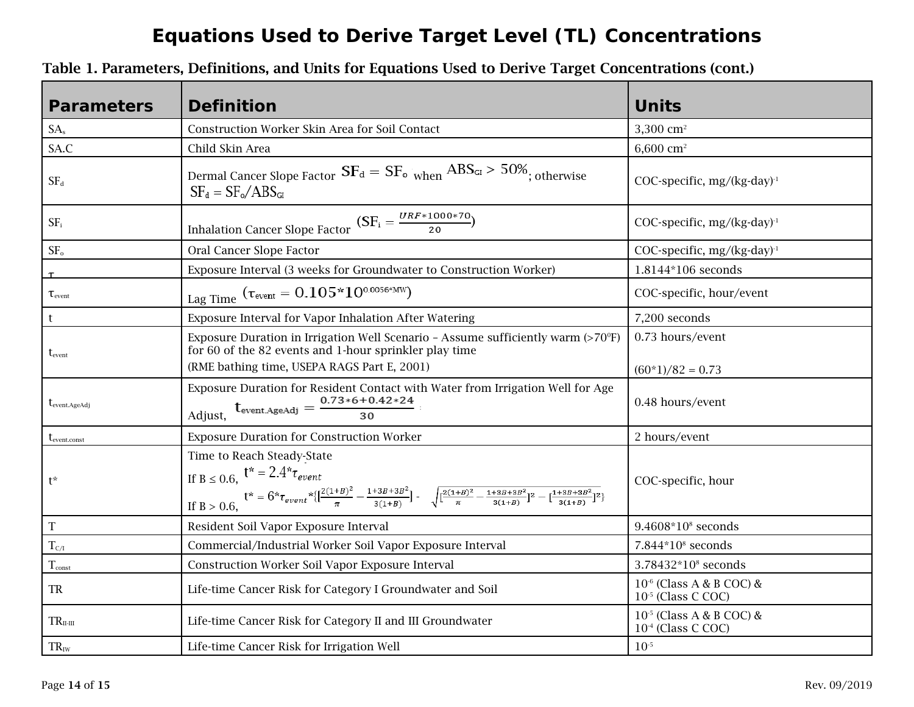| <b>Parameters</b>      | <b>Definition</b>                                                                                                                                                                                                                                                                                                               | <b>Units</b>                                                    |
|------------------------|---------------------------------------------------------------------------------------------------------------------------------------------------------------------------------------------------------------------------------------------------------------------------------------------------------------------------------|-----------------------------------------------------------------|
| SA <sub>s</sub>        | Construction Worker Skin Area for Soil Contact                                                                                                                                                                                                                                                                                  | 3,300 $cm2$                                                     |
| SA.C                   | Child Skin Area                                                                                                                                                                                                                                                                                                                 | 6,600 cm <sup>2</sup>                                           |
| $SF_d$                 | Dermal Cancer Slope Factor $SF_d = SF_o$ when $ABS_{GI} > 50\%$ ; otherwise<br>$SF_d = SF_o/ABS_{GI}$                                                                                                                                                                                                                           | COC-specific, $mg/(kg-day)^{-1}$                                |
| $SF_i$                 | $\underline{\text{Inhalation Cancer Slope Factor}} \, (SF_i = \frac{\textit{URF} * 1000 * 70}{20})$                                                                                                                                                                                                                             | COC-specific, $mg/(kg-day)^{-1}$                                |
| SF <sub>o</sub>        | Oral Cancer Slope Factor                                                                                                                                                                                                                                                                                                        | COC-specific, $mg/(kg \cdot day)^{-1}$                          |
|                        | Exposure Interval (3 weeks for Groundwater to Construction Worker)                                                                                                                                                                                                                                                              | 1.8144*106 seconds                                              |
| $\tau_{\text{event}}$  | Lag Time $(\tau_{event} = 0.105 * 10^{0.0056 * MW})$                                                                                                                                                                                                                                                                            | COC-specific, hour/event                                        |
| t                      | Exposure Interval for Vapor Inhalation After Watering                                                                                                                                                                                                                                                                           | 7,200 seconds                                                   |
| $\rm t_{\rm event}$    | Exposure Duration in Irrigation Well Scenario - Assume sufficiently warm $(>70^\circ F)$<br>for 60 of the 82 events and 1-hour sprinkler play time<br>(RME bathing time, USEPA RAGS Part E, 2001)                                                                                                                               | 0.73 hours/event<br>$(60*1)/82 = 0.73$                          |
| $t_{event. AgeAdj}$    | Exposure Duration for Resident Contact with Water from Irrigation Well for Age<br>$t_{event. AgeAdj} = \frac{0.73 * 6 + 0.42 * 24}{30}$<br>Adjust,                                                                                                                                                                              | 0.48 hours/event                                                |
| $t_{\rm event. const}$ | <b>Exposure Duration for Construction Worker</b>                                                                                                                                                                                                                                                                                | 2 hours/event                                                   |
| $t^*$                  | Time to Reach Steady-State<br>$\label{eq:2.1} \begin{split} \text{If } \textbf{B} \leq 0.6, \quad & \textbf{t}^* = 2.4^* \tau_{event} \\ & \text{if } \textbf{B} > 0.6, \qquad \\ & \text{If } \textbf{B} > 0.6, \end{split} \quad \begin{split} \text{if } \textbf{B} \leq 0.6, \\ & \text{if } \textbf{B} > 0.6, \end{split}$ | COC-specific, hour                                              |
| $\mathbf T$            | Resident Soil Vapor Exposure Interval                                                                                                                                                                                                                                                                                           | $9.4608*10*$ seconds                                            |
| $T_{C/I}$              | Commercial/Industrial Worker Soil Vapor Exposure Interval                                                                                                                                                                                                                                                                       | $7.844*108$ seconds                                             |
| $T_{\text{const}}$     | Construction Worker Soil Vapor Exposure Interval                                                                                                                                                                                                                                                                                | 3.78432*10 <sup>8</sup> seconds                                 |
| <b>TR</b>              | Life-time Cancer Risk for Category I Groundwater and Soil                                                                                                                                                                                                                                                                       | $10^{-6}$ (Class A & B COC) &<br>10 <sup>-5</sup> (Class C COC) |
| $TR_{\text{II-II}}$    | Life-time Cancer Risk for Category II and III Groundwater                                                                                                                                                                                                                                                                       | $10^{-5}$ (Class A & B COC) &<br>10 <sup>-4</sup> (Class C COC) |
| $TR_{IW}$              | Life-time Cancer Risk for Irrigation Well                                                                                                                                                                                                                                                                                       | $10^{-5}$                                                       |